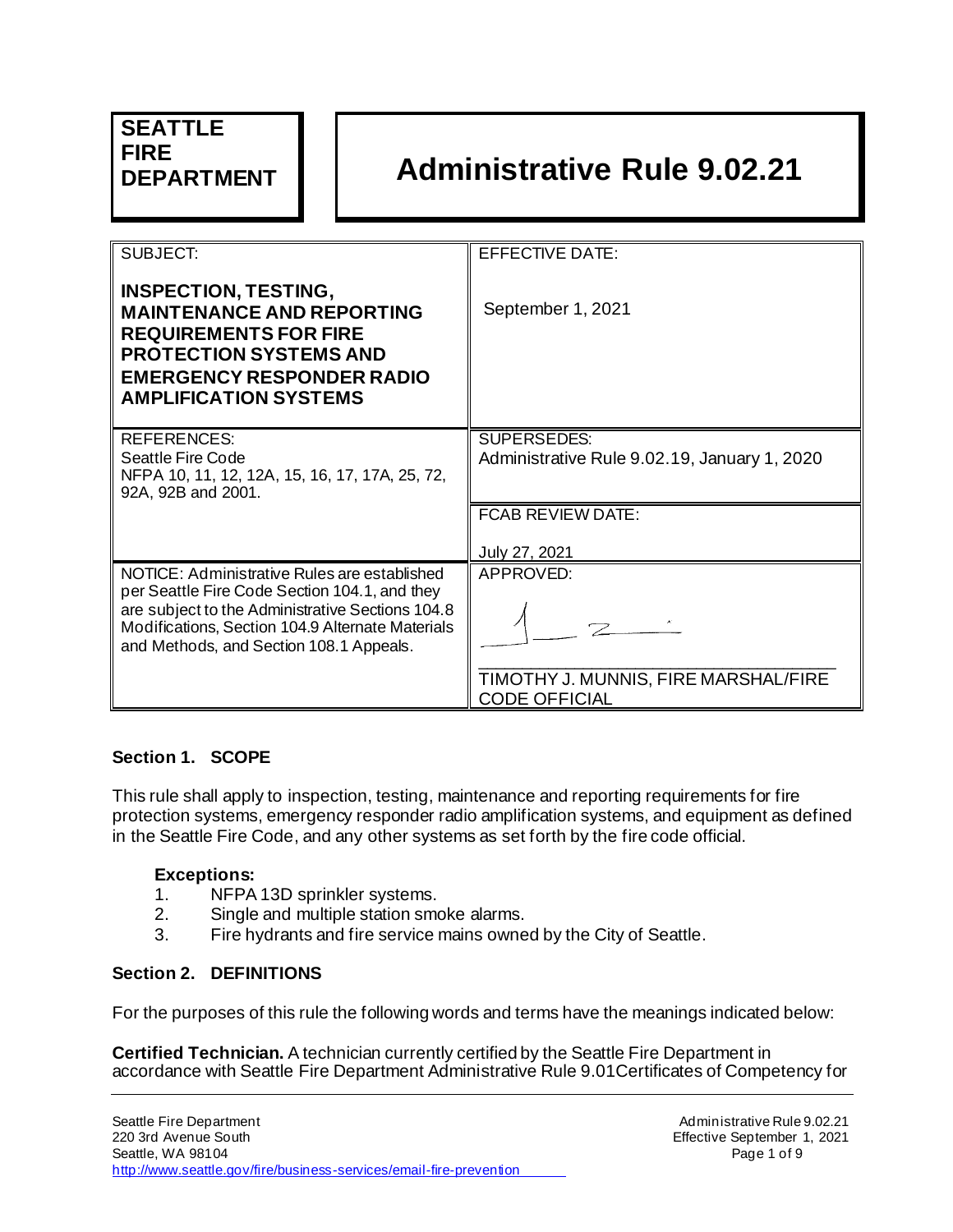# **SEATTLE FIRE**

# **DEPARTMENT Administrative Rule 9.02.21**

| <b>SUBJECT:</b>                                                                                                                                                                                                                                  | <b>EFFECTIVE DATE:</b>                                             |
|--------------------------------------------------------------------------------------------------------------------------------------------------------------------------------------------------------------------------------------------------|--------------------------------------------------------------------|
| <b>INSPECTION, TESTING,</b><br><b>MAINTENANCE AND REPORTING</b><br><b>REQUIREMENTS FOR FIRE</b><br><b>PROTECTION SYSTEMS AND</b><br><b>EMERGENCY RESPONDER RADIO</b><br><b>AMPLIFICATION SYSTEMS</b>                                             | September 1, 2021                                                  |
| <b>REFERENCES:</b><br>Seattle Fire Code<br>NFPA 10, 11, 12, 12A, 15, 16, 17, 17A, 25, 72,<br>92A, 92B and 2001.                                                                                                                                  | <b>SUPERSEDES:</b><br>Administrative Rule 9.02.19, January 1, 2020 |
|                                                                                                                                                                                                                                                  | <b>FCAB REVIEW DATE:</b>                                           |
|                                                                                                                                                                                                                                                  | July 27, 2021                                                      |
| NOTICE: Administrative Rules are established<br>per Seattle Fire Code Section 104.1, and they<br>are subject to the Administrative Sections 104.8<br>Modifications, Section 104.9 Alternate Materials<br>and Methods, and Section 108.1 Appeals. | APPROVED:                                                          |
|                                                                                                                                                                                                                                                  | TIMOTHY J. MUNNIS, FIRE MARSHAL/FIRE<br><b>CODE OFFICIAL</b>       |

#### **Section 1. SCOPE**

This rule shall apply to inspection, testing, maintenance and reporting requirements for fire protection systems, emergency responder radio amplification systems, and equipment as defined in the Seattle Fire Code, and any other systems as set forth by the fire code official.

#### **Exceptions:**

- 1. NFPA 13D sprinkler systems.
- 2. Single and multiple station smoke alarms.
- 3. Fire hydrants and fire service mains owned by the City of Seattle.

#### **Section 2. DEFINITIONS**

For the purposes of this rule the following words and terms have the meanings indicated below:

**Certified Technician.** A technician currently certified by the Seattle Fire Department in accordance with Seattle Fire Department Administrative Rule 9.01Certificates of Competency for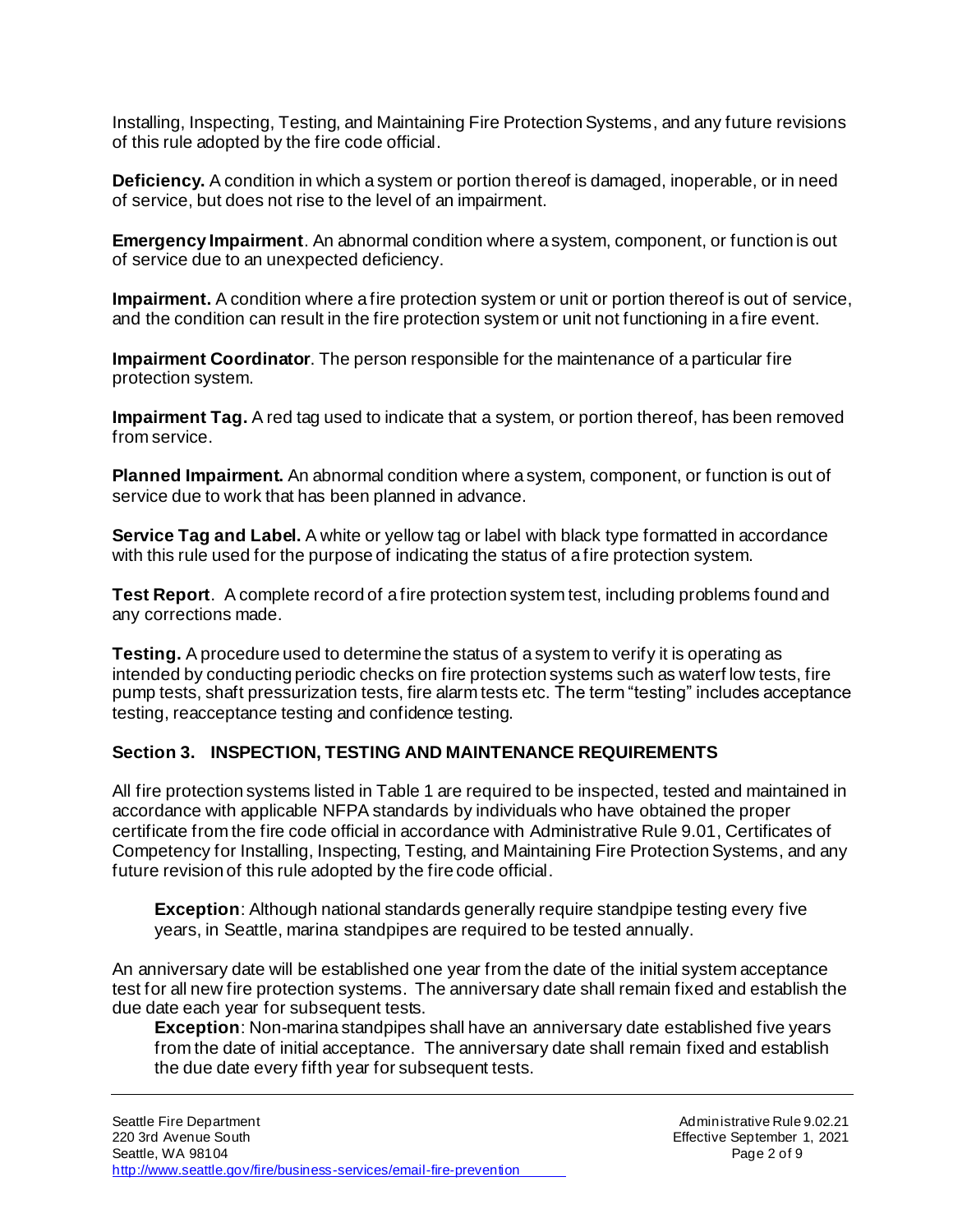Installing, Inspecting, Testing, and Maintaining Fire Protection Systems, and any future revisions of this rule adopted by the fire code official.

**Deficiency.** A condition in which a system or portion thereof is damaged, inoperable, or in need of service, but does not rise to the level of an impairment.

**Emergency Impairment**. An abnormal condition where a system, component, or function is out of service due to an unexpected deficiency.

**Impairment.** A condition where a fire protection system or unit or portion thereof is out of service, and the condition can result in the fire protection system or unit not functioning in a fire event.

**Impairment Coordinator**. The person responsible for the maintenance of a particular fire protection system.

**Impairment Tag.** A red tag used to indicate that a system, or portion thereof, has been removed from service.

**Planned Impairment.** An abnormal condition where a system, component, or function is out of service due to work that has been planned in advance.

**Service Tag and Label.** A white or yellow tag or label with black type formatted in accordance with this rule used for the purpose of indicating the status of a fire protection system.

**Test Report**. A complete record of a fire protection system test, including problems found and any corrections made.

**Testing.** A procedure used to determine the status of a system to verify it is operating as intended by conducting periodic checks on fire protection systems such as waterf low tests, fire pump tests, shaft pressurization tests, fire alarm tests etc. The term "testing" includes acceptance testing, reacceptance testing and confidence testing.

## **Section 3. INSPECTION, TESTING AND MAINTENANCE REQUIREMENTS**

All fire protection systems listed in Table 1 are required to be inspected, tested and maintained in accordance with applicable NFPA standards by individuals who have obtained the proper certificate from the fire code official in accordance with Administrative Rule 9.01, Certificates of Competency for Installing, Inspecting, Testing, and Maintaining Fire Protection Systems, and any future revision of this rule adopted by the fire code official.

**Exception**: Although national standards generally require standpipe testing every five years, in Seattle, marina standpipes are required to be tested annually.

An anniversary date will be established one year from the date of the initial system acceptance test for all new fire protection systems. The anniversary date shall remain fixed and establish the due date each year for subsequent tests.

**Exception**: Non-marina standpipes shall have an anniversary date established five years from the date of initial acceptance. The anniversary date shall remain fixed and establish the due date every fifth year for subsequent tests.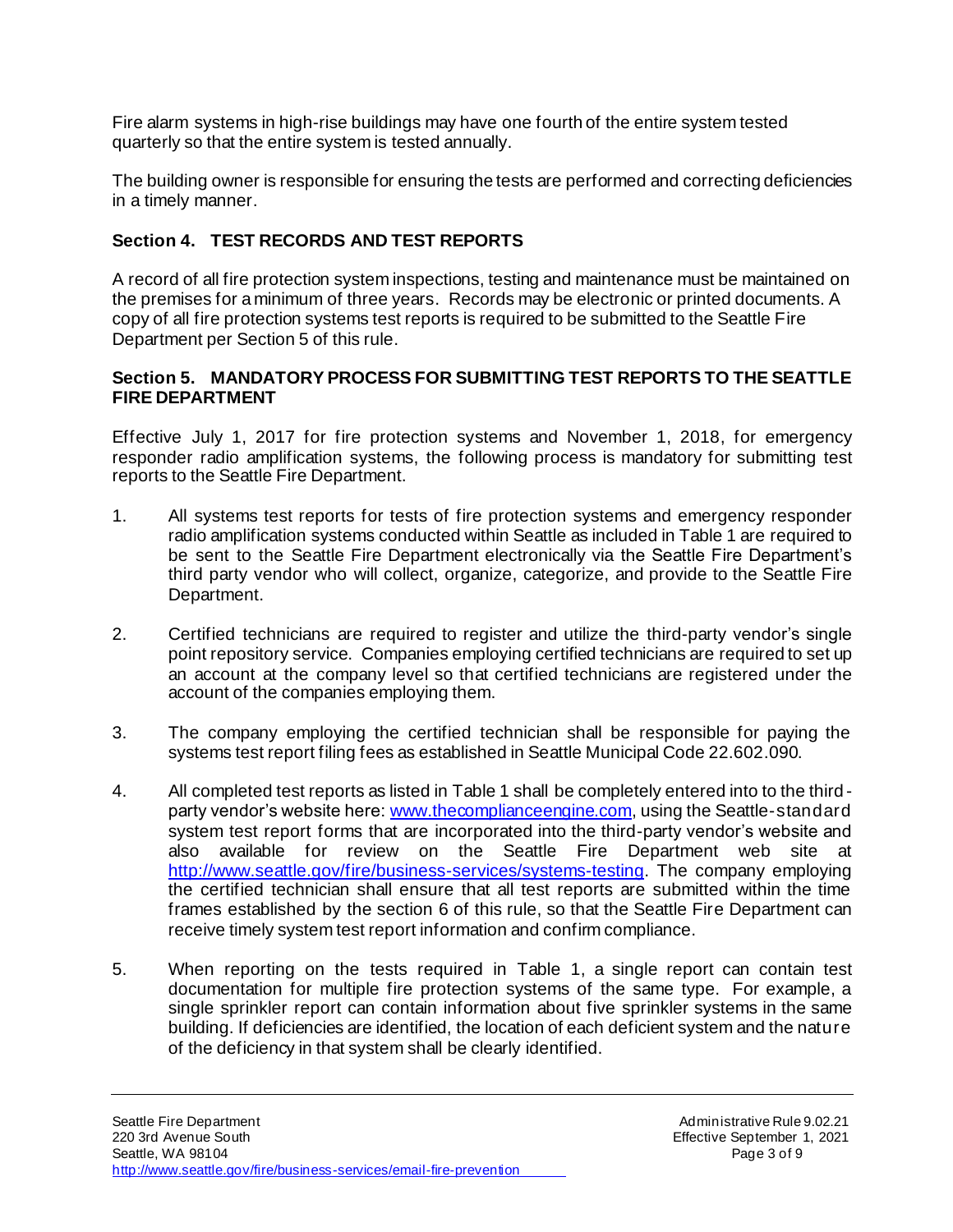Fire alarm systems in high-rise buildings may have one fourth of the entire system tested quarterly so that the entire system is tested annually.

The building owner is responsible for ensuring the tests are performed and correcting deficiencies in a timely manner.

# **Section 4. TEST RECORDS AND TEST REPORTS**

A record of all fire protection system inspections, testing and maintenance must be maintained on the premises for a minimum of three years. Records may be electronic or printed documents. A copy of all fire protection systems test reports is required to be submitted to the Seattle Fire Department per Section 5 of this rule.

## **Section 5. MANDATORY PROCESS FOR SUBMITTING TEST REPORTS TO THE SEATTLE FIRE DEPARTMENT**

Effective July 1, 2017 for fire protection systems and November 1, 2018, for emergency responder radio amplification systems, the following process is mandatory for submitting test reports to the Seattle Fire Department.

- 1. All systems test reports for tests of fire protection systems and emergency responder radio amplification systems conducted within Seattle as included in Table 1 are required to be sent to the Seattle Fire Department electronically via the Seattle Fire Department's third party vendor who will collect, organize, categorize, and provide to the Seattle Fire Department.
- 2. Certified technicians are required to register and utilize the third-party vendor's single point repository service. Companies employing certified technicians are required to set up an account at the company level so that certified technicians are registered under the account of the companies employing them.
- 3. The company employing the certified technician shall be responsible for paying the systems test report filing fees as established in Seattle Municipal Code 22.602.090.
- 4. All completed test reports as listed in Table 1 shall be completely entered into to the third party vendor's website here: [www.thecomplianceengine.com,](http://www.thecomplianceengine.com/) using the Seattle-standard system test report forms that are incorporated into the third-party vendor's website and also available for review on the Seattle Fire Department web site at [http://www.seattle.gov/fire/business-services/systems-testin](http://www.seattle.gov/fire/business-services/systems-testing)g. The company employing the certified technician shall ensure that all test reports are submitted within the time frames established by the section 6 of this rule, so that the Seattle Fire Department can receive timely system test report information and confirm compliance.
- 5. When reporting on the tests required in Table 1, a single report can contain test documentation for multiple fire protection systems of the same type. For example, a single sprinkler report can contain information about five sprinkler systems in the same building. If deficiencies are identified, the location of each deficient system and the nature of the deficiency in that system shall be clearly identified.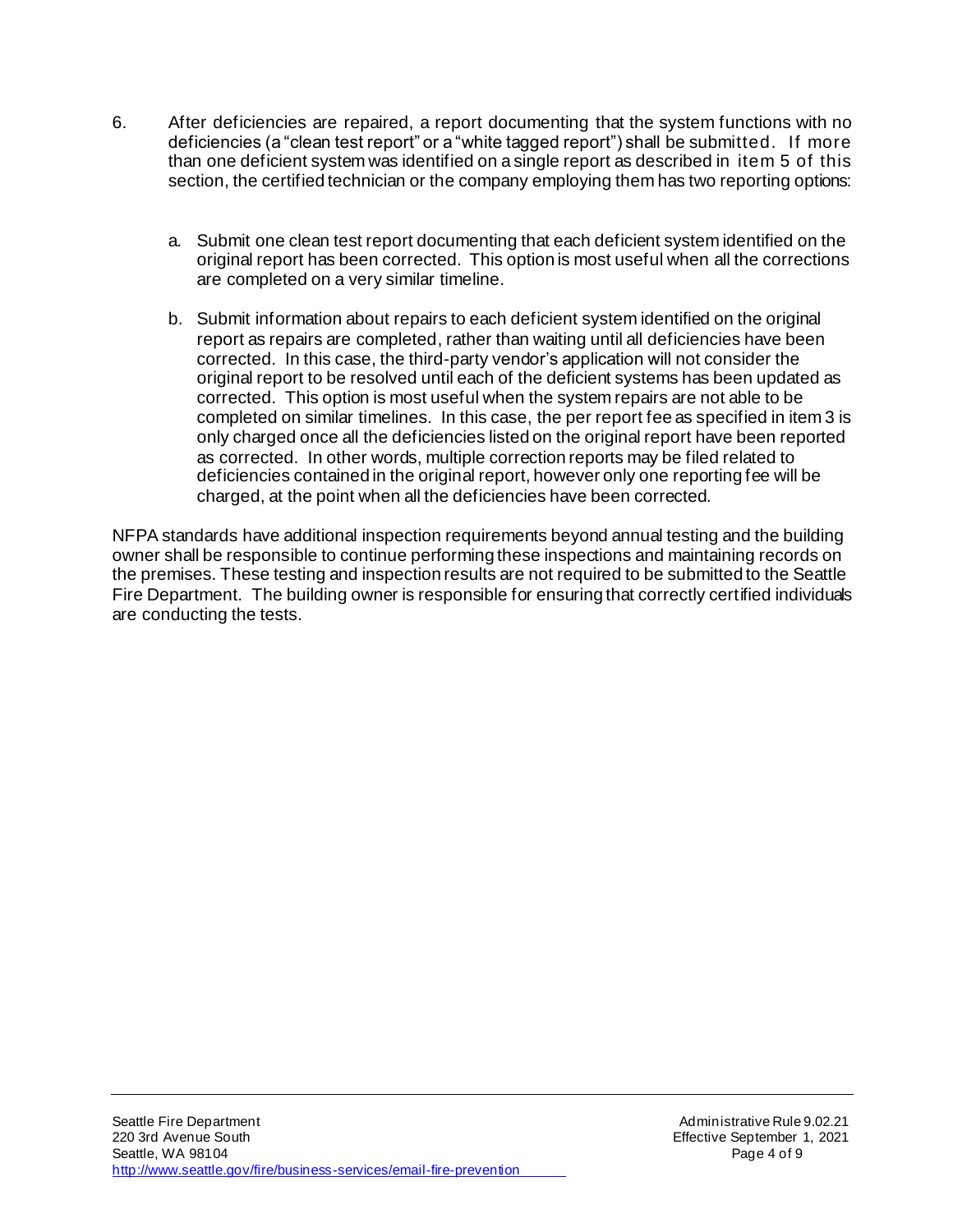- 6. After deficiencies are repaired, a report documenting that the system functions with no deficiencies (a "clean test report" or a "white tagged report") shall be submitted. If more than one deficient system was identified on a single report as described in item 5 of this section, the certified technician or the company employing them has two reporting options:
	- a. Submit one clean test report documenting that each deficient system identified on the original report has been corrected. This option is most useful when all the corrections are completed on a very similar timeline.
	- b. Submit information about repairs to each deficient system identified on the original report as repairs are completed, rather than waiting until all deficiencies have been corrected. In this case, the third-party vendor's application will not consider the original report to be resolved until each of the deficient systems has been updated as corrected. This option is most useful when the system repairs are not able to be completed on similar timelines. In this case, the per report fee as specified in item 3 is only charged once all the deficiencies listed on the original report have been reported as corrected. In other words, multiple correction reports may be filed related to deficiencies contained in the original report, however only one reporting fee will be charged, at the point when all the deficiencies have been corrected.

NFPA standards have additional inspection requirements beyond annual testing and the building owner shall be responsible to continue performing these inspections and maintaining records on the premises. These testing and inspection results are not required to be submitted to the Seattle Fire Department. The building owner is responsible for ensuring that correctly certified individuals are conducting the tests.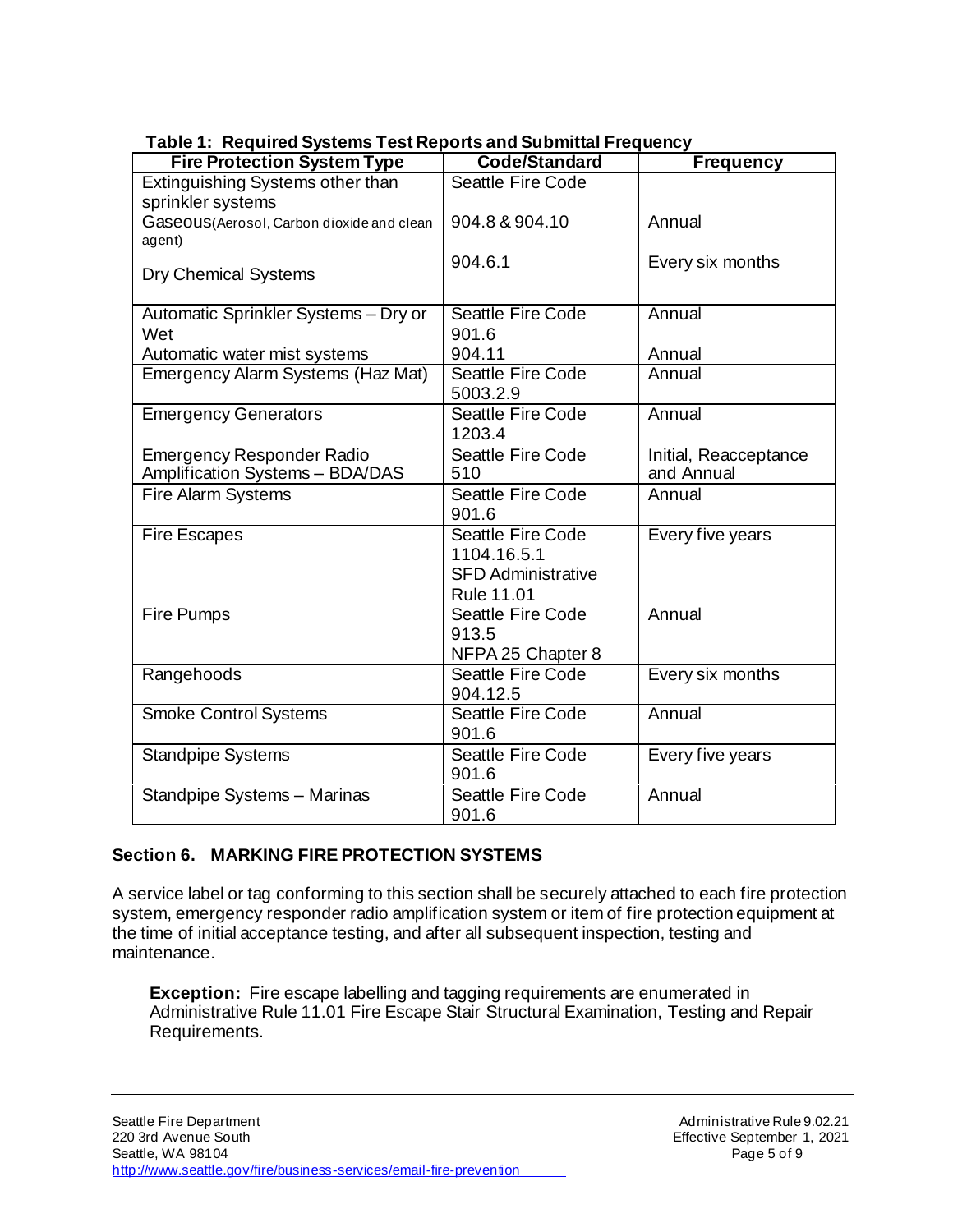| rabie 1. Negulieu Jysteliis Test Nepolts allu Jubiliittai Fleguelicy<br><b>Fire Protection System Type</b> | <b>Code/Standard</b>      | <b>Frequency</b>      |
|------------------------------------------------------------------------------------------------------------|---------------------------|-----------------------|
| Extinguishing Systems other than                                                                           | <b>Seattle Fire Code</b>  |                       |
| sprinkler systems                                                                                          |                           |                       |
|                                                                                                            | 904.8 & 904.10            | Annual                |
| Gaseous(Aerosol, Carbon dioxide and clean<br>agent)                                                        |                           |                       |
|                                                                                                            |                           |                       |
| <b>Dry Chemical Systems</b>                                                                                | 904.6.1                   | Every six months      |
|                                                                                                            |                           |                       |
| Automatic Sprinkler Systems - Dry or                                                                       | <b>Seattle Fire Code</b>  | Annual                |
| Wet                                                                                                        | 901.6                     |                       |
| Automatic water mist systems                                                                               | 904.11                    | Annual                |
| Emergency Alarm Systems (Haz Mat)                                                                          | <b>Seattle Fire Code</b>  | Annual                |
|                                                                                                            | 5003.2.9                  |                       |
| <b>Emergency Generators</b>                                                                                | <b>Seattle Fire Code</b>  | Annual                |
|                                                                                                            | 1203.4                    |                       |
| <b>Emergency Responder Radio</b>                                                                           | <b>Seattle Fire Code</b>  | Initial, Reacceptance |
| Amplification Systems - BDA/DAS                                                                            | 510                       | and Annual            |
| <b>Fire Alarm Systems</b>                                                                                  | <b>Seattle Fire Code</b>  | Annual                |
|                                                                                                            | 901.6                     |                       |
| <b>Fire Escapes</b>                                                                                        | <b>Seattle Fire Code</b>  | Every five years      |
|                                                                                                            | 1104.16.5.1               |                       |
|                                                                                                            | <b>SFD Administrative</b> |                       |
|                                                                                                            | Rule 11.01                |                       |
| <b>Fire Pumps</b>                                                                                          | <b>Seattle Fire Code</b>  | Annual                |
|                                                                                                            | 913.5                     |                       |
|                                                                                                            | NFPA 25 Chapter 8         |                       |
| Rangehoods                                                                                                 | <b>Seattle Fire Code</b>  | Every six months      |
|                                                                                                            | 904.12.5                  |                       |
| <b>Smoke Control Systems</b>                                                                               | <b>Seattle Fire Code</b>  | Annual                |
|                                                                                                            | 901.6                     |                       |
| <b>Standpipe Systems</b>                                                                                   | <b>Seattle Fire Code</b>  | Every five years      |
|                                                                                                            | 901.6                     |                       |
| Standpipe Systems - Marinas                                                                                | <b>Seattle Fire Code</b>  | Annual                |
|                                                                                                            | 901.6                     |                       |

 **Table 1: Required Systems Test Reports and Submittal Frequency**

## **Section 6. MARKING FIRE PROTECTION SYSTEMS**

A service label or tag conforming to this section shall be securely attached to each fire protection system, emergency responder radio amplification system or item of fire protection equipment at the time of initial acceptance testing, and after all subsequent inspection, testing and maintenance.

**Exception:** Fire escape labelling and tagging requirements are enumerated in Administrative Rule 11.01 Fire Escape Stair Structural Examination, Testing and Repair Requirements.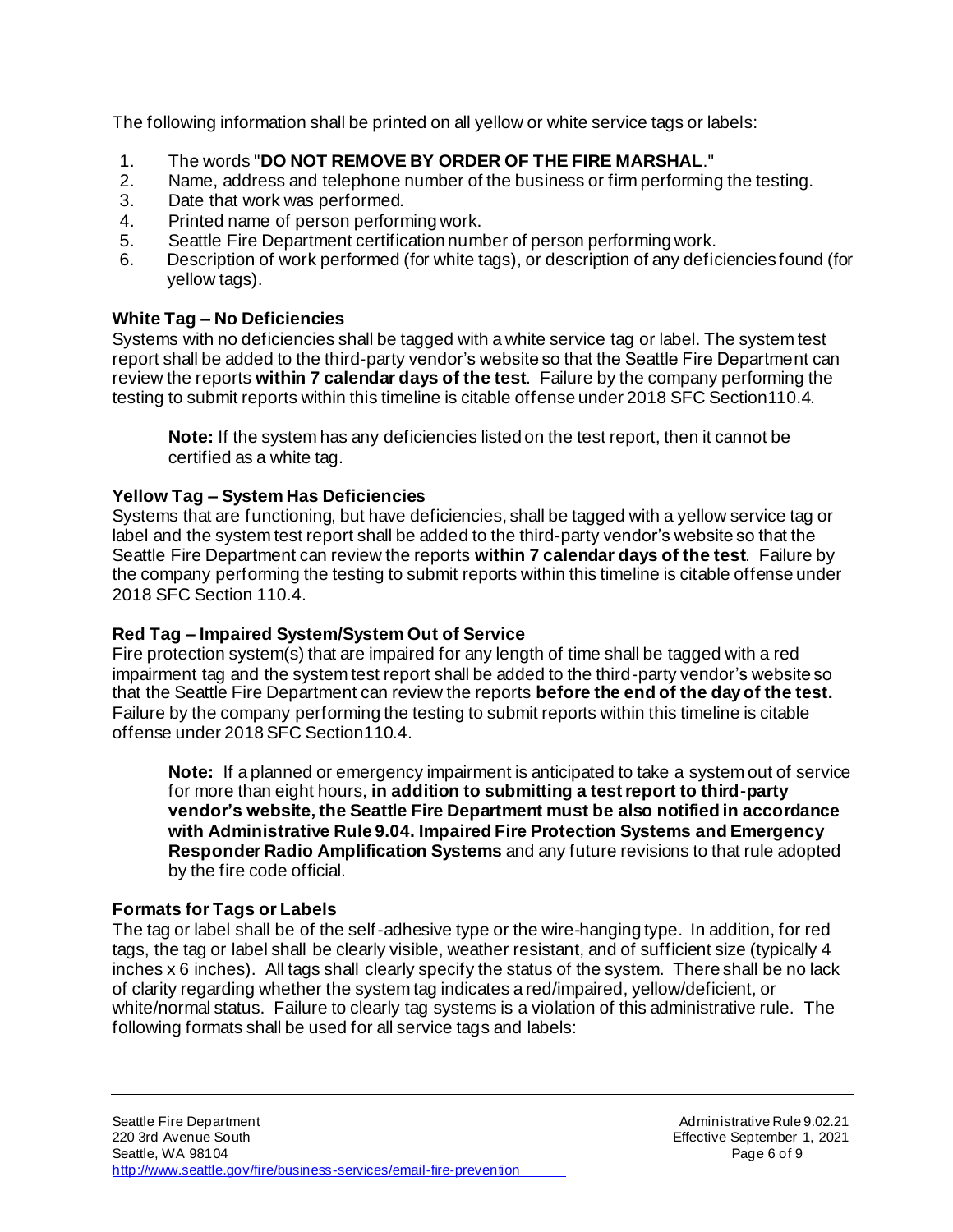The following information shall be printed on all yellow or white service tags or labels:

- 1. The words "**DO NOT REMOVE BY ORDER OF THE FIRE MARSHAL**."
- 2. Name, address and telephone number of the business or firm performing the testing.
- 3. Date that work was performed.
- 4. Printed name of person performing work.
- 5. Seattle Fire Department certification number of person performing work.
- 6. Description of work performed (for white tags), or description of any deficiencies found (for yellow tags).

## **White Tag – No Deficiencies**

Systems with no deficiencies shall be tagged with a white service tag or label. The system test report shall be added to the third-party vendor's website so that the Seattle Fire Department can review the reports **within 7 calendar days of the test**. Failure by the company performing the testing to submit reports within this timeline is citable offense under 2018 SFC Section110.4.

**Note:** If the system has any deficiencies listed on the test report, then it cannot be certified as a white tag.

#### **Yellow Tag – System Has Deficiencies**

Systems that are functioning, but have deficiencies, shall be tagged with a yellow service tag or label and the system test report shall be added to the third-party vendor's website so that the Seattle Fire Department can review the reports **within 7 calendar days of the test**. Failure by the company performing the testing to submit reports within this timeline is citable offense under 2018 SFC Section 110.4.

## **Red Tag – Impaired System/System Out of Service**

Fire protection system(s) that are impaired for any length of time shall be tagged with a red impairment tag and the system test report shall be added to the third-party vendor's website so that the Seattle Fire Department can review the reports **before the end of the day of the test.** Failure by the company performing the testing to submit reports within this timeline is citable offense under 2018SFC Section110.4.

**Note:** If a planned or emergency impairment is anticipated to take a system out of service for more than eight hours, **in addition to submitting a test report to third-party vendor's website, the Seattle Fire Department must be also notified in accordance with Administrative Rule 9.04. Impaired Fire Protection Systems and Emergency Responder Radio Amplification Systems** and any future revisions to that rule adopted by the fire code official.

#### **Formats for Tags or Labels**

The tag or label shall be of the self-adhesive type or the wire-hanging type. In addition, for red tags, the tag or label shall be clearly visible, weather resistant, and of sufficient size (typically 4 inches x 6 inches). All tags shall clearly specify the status of the system. There shall be no lack of clarity regarding whether the system tag indicates a red/impaired, yellow/deficient, or white/normal status. Failure to clearly tag systems is a violation of this administrative rule. The following formats shall be used for all service tags and labels: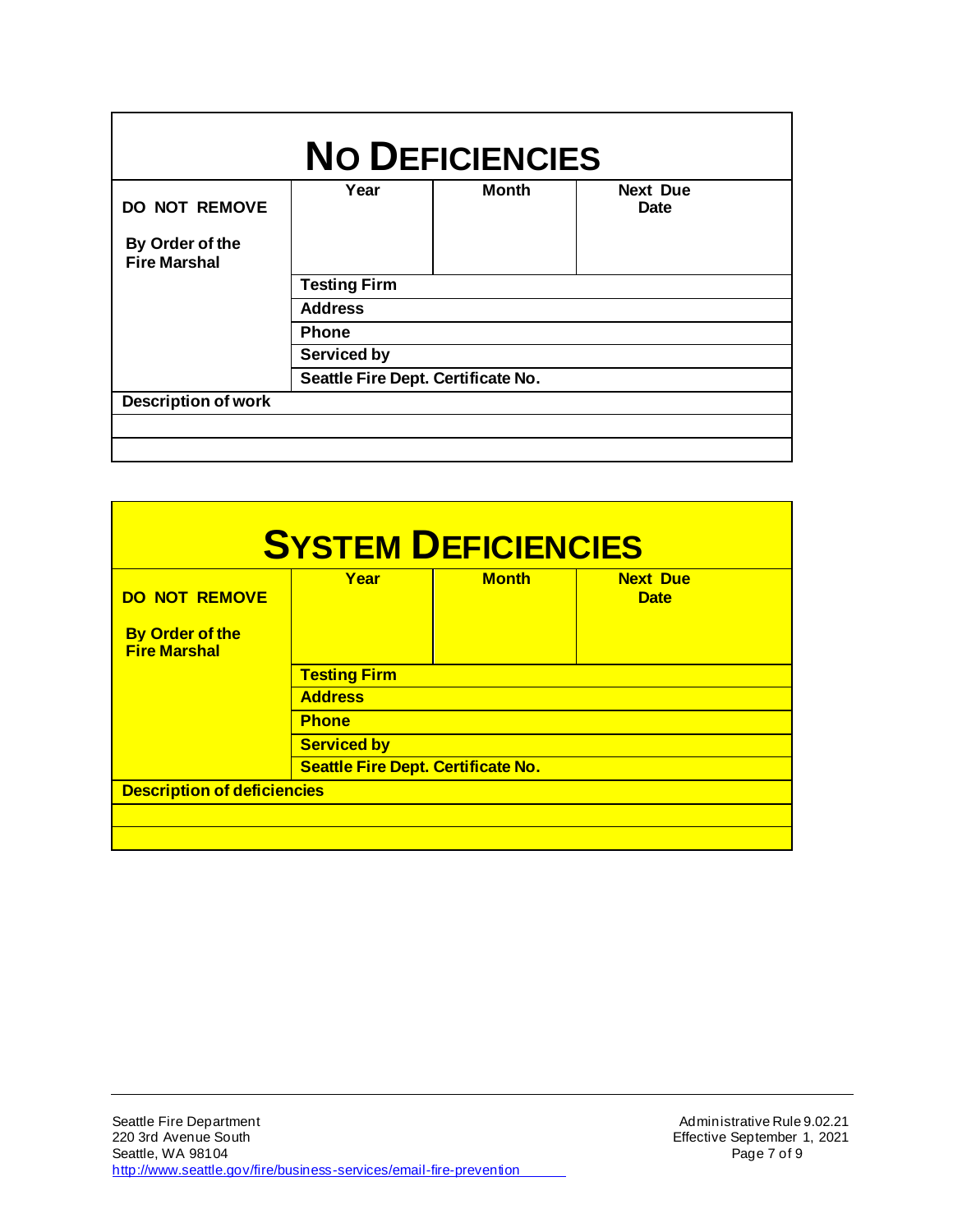| <b>NO DEFICIENCIES</b>                 |                                    |              |                         |
|----------------------------------------|------------------------------------|--------------|-------------------------|
| <b>DO NOT REMOVE</b>                   | Year                               | <b>Month</b> | <b>Next Due</b><br>Date |
| By Order of the<br><b>Fire Marshal</b> |                                    |              |                         |
|                                        | <b>Testing Firm</b>                |              |                         |
|                                        | <b>Address</b>                     |              |                         |
|                                        | <b>Phone</b>                       |              |                         |
|                                        | <b>Serviced by</b>                 |              |                         |
|                                        | Seattle Fire Dept. Certificate No. |              |                         |
| <b>Description of work</b>             |                                    |              |                         |
|                                        |                                    |              |                         |
|                                        |                                    |              |                         |

| <b>SYSTEM DEFICIENCIES</b>                    |                                           |              |                                |
|-----------------------------------------------|-------------------------------------------|--------------|--------------------------------|
| <b>DO NOT REMOVE</b>                          | Year                                      | <b>Month</b> | <b>Next Due</b><br><b>Date</b> |
| <b>By Order of the</b><br><b>Fire Marshal</b> |                                           |              |                                |
|                                               | <b>Testing Firm</b>                       |              |                                |
|                                               | <b>Address</b>                            |              |                                |
|                                               | <b>Phone</b>                              |              |                                |
|                                               | <b>Serviced by</b>                        |              |                                |
|                                               | <b>Seattle Fire Dept. Certificate No.</b> |              |                                |
| <b>Description of deficiencies</b>            |                                           |              |                                |
|                                               |                                           |              |                                |
|                                               |                                           |              |                                |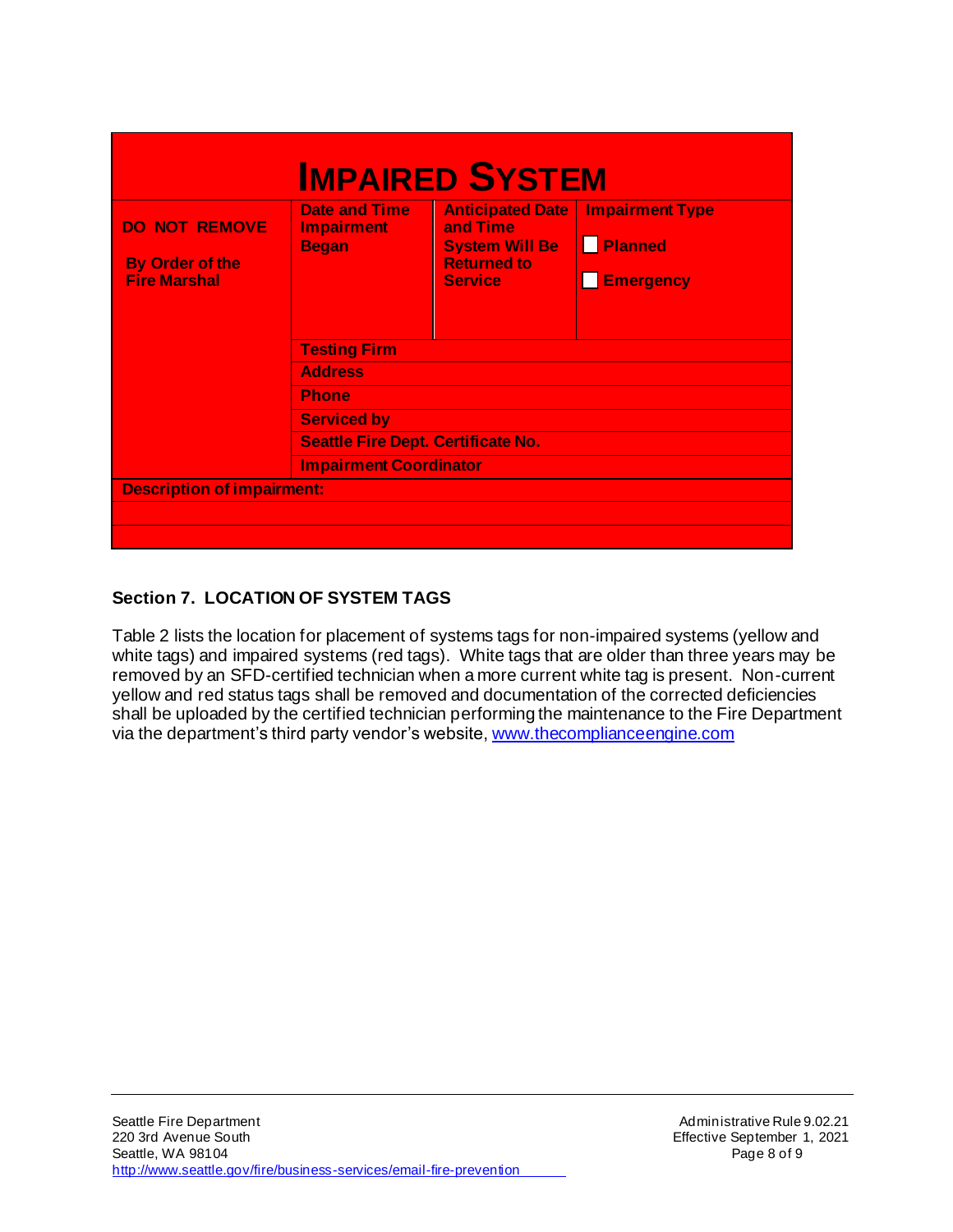| <b>IMPAIRED SYSTEM</b>                                                |                                                                                                                                    |                                                                                                      |                                                              |
|-----------------------------------------------------------------------|------------------------------------------------------------------------------------------------------------------------------------|------------------------------------------------------------------------------------------------------|--------------------------------------------------------------|
| <b>DO NOT REMOVE</b><br><b>By Order of the</b><br><b>Fire Marshal</b> | <b>Date and Time</b><br><b>Impairment</b><br><b>Began</b>                                                                          | <b>Anticipated Date</b><br>and Time<br><b>System Will Be</b><br><b>Returned to</b><br><b>Service</b> | <b>Impairment Type</b><br><b>Planned</b><br><b>Emergency</b> |
|                                                                       | <b>Testing Firm</b>                                                                                                                |                                                                                                      |                                                              |
|                                                                       | <b>Address</b><br><b>Phone</b><br><b>Serviced by</b><br><b>Seattle Fire Dept. Certificate No.</b><br><b>Impairment Coordinator</b> |                                                                                                      |                                                              |
|                                                                       |                                                                                                                                    |                                                                                                      |                                                              |
|                                                                       |                                                                                                                                    |                                                                                                      |                                                              |
|                                                                       |                                                                                                                                    |                                                                                                      |                                                              |
|                                                                       |                                                                                                                                    |                                                                                                      |                                                              |
| <b>Description of impairment:</b>                                     |                                                                                                                                    |                                                                                                      |                                                              |
|                                                                       |                                                                                                                                    |                                                                                                      |                                                              |
|                                                                       |                                                                                                                                    |                                                                                                      |                                                              |

# **Section 7. LOCATION OF SYSTEM TAGS**

Table 2 lists the location for placement of systems tags for non-impaired systems (yellow and white tags) and impaired systems (red tags). White tags that are older than three years may be removed by an SFD-certified technician when a more current white tag is present. Non-current yellow and red status tags shall be removed and documentation of the corrected deficiencies shall be uploaded by the certified technician performing the maintenance to the Fire Department via the department's third party vendor's website[, www.thecomplianceengine.com](http://www.thecomplianceengine.com/)